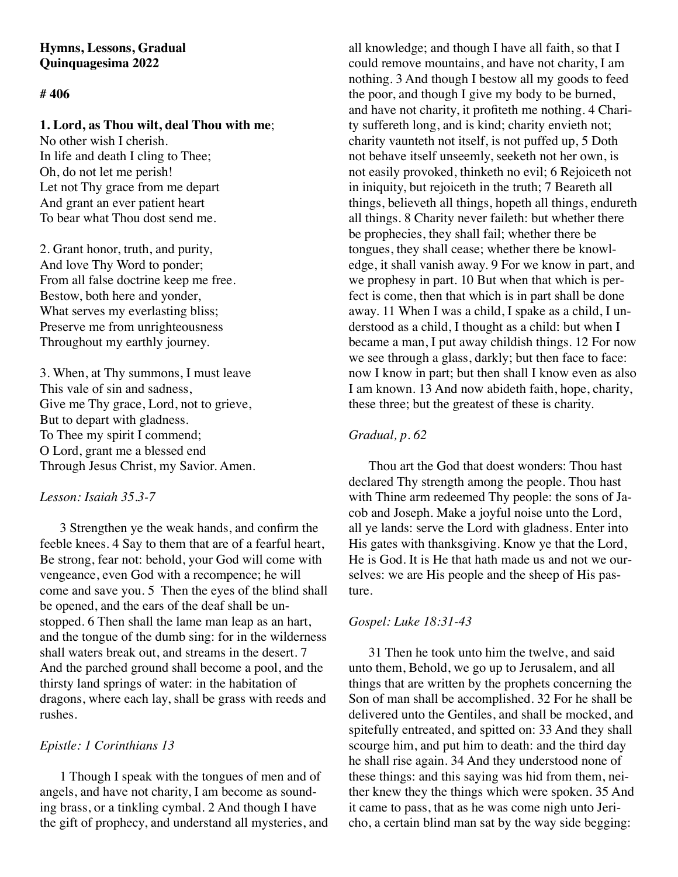## **Hymns, Lessons, Gradual Quinquagesima 2022**

## **# 406**

### **1. Lord, as Thou wilt, deal Thou with me**;

No other wish I cherish. In life and death I cling to Thee; Oh, do not let me perish! Let not Thy grace from me depart And grant an ever patient heart To bear what Thou dost send me.

2. Grant honor, truth, and purity, And love Thy Word to ponder; From all false doctrine keep me free. Bestow, both here and yonder, What serves my everlasting bliss; Preserve me from unrighteousness Throughout my earthly journey.

3. When, at Thy summons, I must leave This vale of sin and sadness, Give me Thy grace, Lord, not to grieve, But to depart with gladness. To Thee my spirit I commend; O Lord, grant me a blessed end Through Jesus Christ, my Savior. Amen.

#### *Lesson: Isaiah 35.3-7*

3 Strengthen ye the weak hands, and confirm the feeble knees. 4 Say to them that are of a fearful heart, Be strong, fear not: behold, your God will come with vengeance, even God with a recompence; he will come and save you. 5 Then the eyes of the blind shall be opened, and the ears of the deaf shall be unstopped. 6 Then shall the lame man leap as an hart, and the tongue of the dumb sing: for in the wilderness shall waters break out, and streams in the desert. 7 And the parched ground shall become a pool, and the thirsty land springs of water: in the habitation of dragons, where each lay, shall be grass with reeds and rushes.

# *Epistle: 1 Corinthians 13*

1 Though I speak with the tongues of men and of angels, and have not charity, I am become as sounding brass, or a tinkling cymbal. 2 And though I have the gift of prophecy, and understand all mysteries, and

all knowledge; and though I have all faith, so that I could remove mountains, and have not charity, I am nothing. 3 And though I bestow all my goods to feed the poor, and though I give my body to be burned, and have not charity, it profiteth me nothing. 4 Charity suffereth long, and is kind; charity envieth not; charity vaunteth not itself, is not puffed up, 5 Doth not behave itself unseemly, seeketh not her own, is not easily provoked, thinketh no evil; 6 Rejoiceth not in iniquity, but rejoiceth in the truth; 7 Beareth all things, believeth all things, hopeth all things, endureth all things. 8 Charity never faileth: but whether there be prophecies, they shall fail; whether there be tongues, they shall cease; whether there be knowledge, it shall vanish away. 9 For we know in part, and we prophesy in part. 10 But when that which is perfect is come, then that which is in part shall be done away. 11 When I was a child, I spake as a child, I understood as a child, I thought as a child: but when I became a man, I put away childish things. 12 For now we see through a glass, darkly; but then face to face: now I know in part; but then shall I know even as also I am known. 13 And now abideth faith, hope, charity, these three; but the greatest of these is charity.

## *Gradual, p. 62*

Thou art the God that doest wonders: Thou hast declared Thy strength among the people. Thou hast with Thine arm redeemed Thy people: the sons of Jacob and Joseph. Make a joyful noise unto the Lord, all ye lands: serve the Lord with gladness. Enter into His gates with thanksgiving. Know ye that the Lord, He is God. It is He that hath made us and not we ourselves: we are His people and the sheep of His pasture.

## *Gospel: Luke 18:31-43*

31 Then he took unto him the twelve, and said unto them, Behold, we go up to Jerusalem, and all things that are written by the prophets concerning the Son of man shall be accomplished. 32 For he shall be delivered unto the Gentiles, and shall be mocked, and spitefully entreated, and spitted on: 33 And they shall scourge him, and put him to death: and the third day he shall rise again. 34 And they understood none of these things: and this saying was hid from them, neither knew they the things which were spoken. 35 And it came to pass, that as he was come nigh unto Jericho, a certain blind man sat by the way side begging: